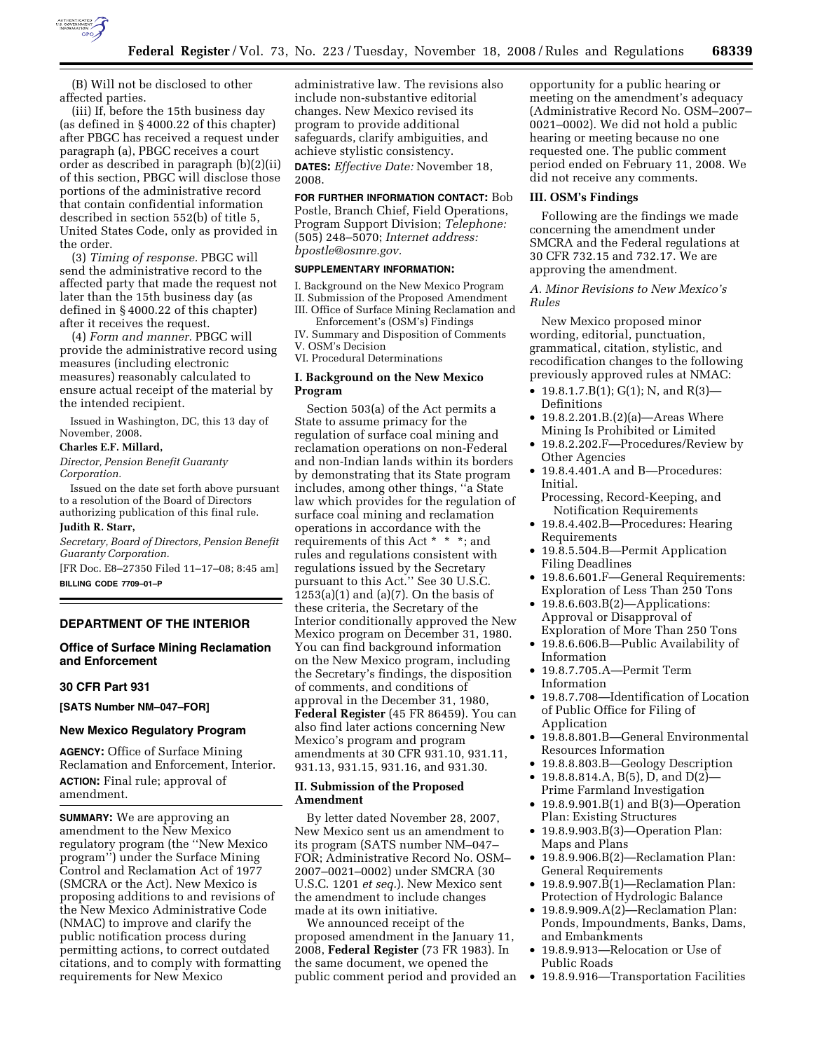

(B) Will not be disclosed to other affected parties.

(iii) If, before the 15th business day (as defined in § 4000.22 of this chapter) after PBGC has received a request under paragraph (a), PBGC receives a court order as described in paragraph (b)(2)(ii) of this section, PBGC will disclose those portions of the administrative record that contain confidential information described in section 552(b) of title 5, United States Code, only as provided in the order.

(3) *Timing of response.* PBGC will send the administrative record to the affected party that made the request not later than the 15th business day (as defined in § 4000.22 of this chapter) after it receives the request.

(4) *Form and manner.* PBGC will provide the administrative record using measures (including electronic measures) reasonably calculated to ensure actual receipt of the material by the intended recipient.

Issued in Washington, DC, this 13 day of November, 2008.

## **Charles E.F. Millard,**

*Director, Pension Benefit Guaranty Corporation.* 

Issued on the date set forth above pursuant to a resolution of the Board of Directors authorizing publication of this final rule. **Judith R. Starr,** 

*Secretary, Board of Directors, Pension Benefit Guaranty Corporation.* 

[FR Doc. E8–27350 Filed 11–17–08; 8:45 am] **BILLING CODE 7709–01–P** 

## **DEPARTMENT OF THE INTERIOR**

# **Office of Surface Mining Reclamation and Enforcement**

## **30 CFR Part 931**

**[SATS Number NM–047–FOR]** 

#### **New Mexico Regulatory Program**

**AGENCY:** Office of Surface Mining Reclamation and Enforcement, Interior. **ACTION:** Final rule; approval of amendment.

**SUMMARY:** We are approving an amendment to the New Mexico regulatory program (the ''New Mexico program'') under the Surface Mining Control and Reclamation Act of 1977 (SMCRA or the Act). New Mexico is proposing additions to and revisions of the New Mexico Administrative Code (NMAC) to improve and clarify the public notification process during permitting actions, to correct outdated citations, and to comply with formatting requirements for New Mexico

administrative law. The revisions also include non-substantive editorial changes. New Mexico revised its program to provide additional safeguards, clarify ambiguities, and achieve stylistic consistency. **DATES:** *Effective Date:* November 18, 2008.

### **FOR FURTHER INFORMATION CONTACT:** Bob

Postle, Branch Chief, Field Operations, Program Support Division; *Telephone:*  (505) 248–5070; *Internet address: bpostle@osmre.gov.* 

### **SUPPLEMENTARY INFORMATION:**

I. Background on the New Mexico Program II. Submission of the Proposed Amendment

III. Office of Surface Mining Reclamation and Enforcement's (OSM's) Findings

IV. Summary and Disposition of Comments V. OSM's Decision

VI. Procedural Determinations

## **I. Background on the New Mexico Program**

Section 503(a) of the Act permits a State to assume primacy for the regulation of surface coal mining and reclamation operations on non-Federal and non-Indian lands within its borders by demonstrating that its State program includes, among other things, ''a State law which provides for the regulation of surface coal mining and reclamation operations in accordance with the requirements of this Act \* \* \*; and rules and regulations consistent with regulations issued by the Secretary pursuant to this Act.'' See 30 U.S.C.  $1253(a)(1)$  and  $(a)(7)$ . On the basis of these criteria, the Secretary of the Interior conditionally approved the New Mexico program on December 31, 1980. You can find background information on the New Mexico program, including the Secretary's findings, the disposition of comments, and conditions of approval in the December 31, 1980, **Federal Register** (45 FR 86459). You can also find later actions concerning New Mexico's program and program amendments at 30 CFR 931.10, 931.11, 931.13, 931.15, 931.16, and 931.30.

### **II. Submission of the Proposed Amendment**

By letter dated November 28, 2007, New Mexico sent us an amendment to its program (SATS number NM–047– FOR; Administrative Record No. OSM– 2007–0021–0002) under SMCRA (30 U.S.C. 1201 *et seq.*). New Mexico sent the amendment to include changes made at its own initiative.

We announced receipt of the proposed amendment in the January 11, 2008, **Federal Register** (73 FR 1983). In the same document, we opened the public comment period and provided an opportunity for a public hearing or meeting on the amendment's adequacy (Administrative Record No. OSM–2007– 0021–0002). We did not hold a public hearing or meeting because no one requested one. The public comment period ended on February 11, 2008. We did not receive any comments.

#### **III. OSM's Findings**

Following are the findings we made concerning the amendment under SMCRA and the Federal regulations at 30 CFR 732.15 and 732.17. We are approving the amendment.

### *A. Minor Revisions to New Mexico's Rules*

New Mexico proposed minor wording, editorial, punctuation, grammatical, citation, stylistic, and recodification changes to the following previously approved rules at NMAC:

- 19.8.1.7. $B(1)$ ;  $G(1)$ ; N, and R(3)-Definitions
- 19.8.2.201.B.(2)(a)—Areas Where Mining Is Prohibited or Limited
- 19.8.2.202.F—Procedures/Review by Other Agencies
- 19.8.4.401.A and B—Procedures: Initial.
	- Processing, Record-Keeping, and Notification Requirements
- 19.8.4.402.B—Procedures: Hearing Requirements
- 19.8.5.504.B—Permit Application Filing Deadlines
- 19.8.6.601.F—General Requirements: Exploration of Less Than 250 Tons
- 19.8.6.603.B(2)—Applications: Approval or Disapproval of Exploration of More Than 250 Tons
- 19.8.6.606.B—Public Availability of Information
- 19.8.7.705.A—Permit Term Information
- 19.8.7.708—Identification of Location of Public Office for Filing of Application
- 19.8.8.801.B—General Environmental Resources Information
- 19.8.8.803.B—Geology Description
- 19.8.8.814.A, B(5), D, and D(2)— Prime Farmland Investigation
- 19.8.9.901.B(1) and B(3)—Operation Plan: Existing Structures
- 19.8.9.903.B(3)—Operation Plan: Maps and Plans
- 19.8.9.906.B(2)—Reclamation Plan: General Requirements
- 19.8.9.907.B(1)—Reclamation Plan: Protection of Hydrologic Balance
- 19.8.9.909.A(2)—Reclamation Plan: Ponds, Impoundments, Banks, Dams, and Embankments
- 19.8.9.913—Relocation or Use of Public Roads
- 19.8.9.916—Transportation Facilities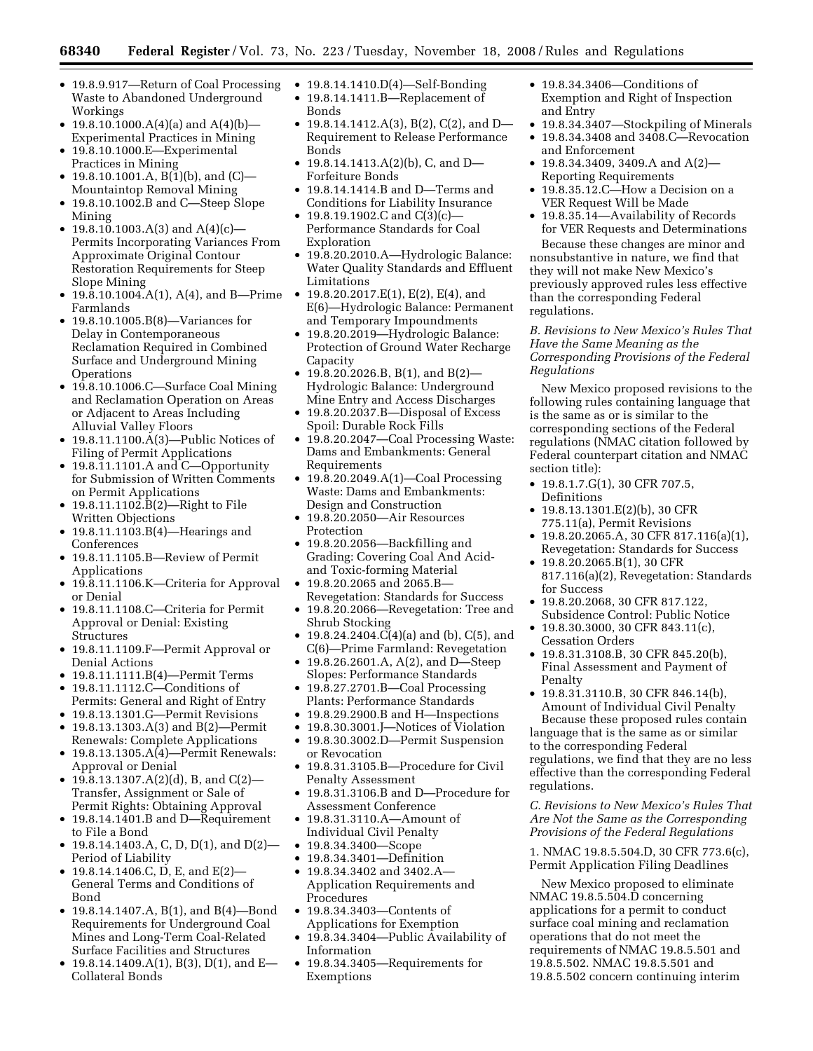- 19.8.9.917—Return of Coal Processing Waste to Abandoned Underground Workings
- 19.8.10.1000. $A(4)(a)$  and  $A(4)(b)$ Experimental Practices in Mining
- 19.8.10.1000.E—Experimental Practices in Mining
- 19.8.10.1001.A,  $B(1)(b)$ , and  $(C)$  Mountaintop Removal Mining
- 19.8.10.1002.B and C—Steep Slope Mining
- 19.8.10.1003.A(3) and A(4)(c)— Permits Incorporating Variances From Approximate Original Contour Restoration Requirements for Steep Slope Mining
- 19.8.10.1004.A(1), A(4), and B—Prime Farmlands
- 19.8.10.1005.B(8)—Variances for Delay in Contemporaneous Reclamation Required in Combined Surface and Underground Mining **Operations**
- 19.8.10.1006.C—Surface Coal Mining and Reclamation Operation on Areas or Adjacent to Areas Including Alluvial Valley Floors
- 19.8.11.1100.A(3)—Public Notices of Filing of Permit Applications
- 19.8.11.1101.A and C-Opportunity for Submission of Written Comments on Permit Applications
- 19.8.11.1102.B(2)—Right to File Written Objections
- 19.8.11.1103.B(4)—Hearings and Conferences
- 19.8.11.1105.B—Review of Permit Applications
- 19.8.11.1106.K—Criteria for Approval or Denial
- 19.8.11.1108.C—Criteria for Permit Approval or Denial: Existing Structures
- 19.8.11.1109.F—Permit Approval or Denial Actions
- 19.8.11.1111.B(4)—Permit Terms
- 19.8.11.1112.C—Conditions of
- Permits: General and Right of Entry
- 19.8.13.1301.G—Permit Revisions • 19.8.13.1303.A(3) and B(2)—Permit
- Renewals: Complete Applications • 19.8.13.1305.A(4)—Permit Renewals:
- Approval or Denial • 19.8.13.1307.A(2)(d), B, and C(2)— Transfer, Assignment or Sale of Permit Rights: Obtaining Approval
- 19.8.14.1401.B and D—Requirement to File a Bond
- 19.8.14.1403.A, C, D, D(1), and D(2)— Period of Liability
- 19.8.14.1406.C, D, E, and E(2)— General Terms and Conditions of Bond
- 19.8.14.1407.A, B(1), and B(4)—Bond Requirements for Underground Coal Mines and Long-Term Coal-Related Surface Facilities and Structures
- 19.8.14.1409.A(1), B(3), D(1), and E— Collateral Bonds
- 19.8.14.1410.D(4)-Self-Bonding
- 19.8.14.1411.B—Replacement of Bonds
- 19.8.14.1412.A(3), B(2), C(2), and D— Requirement to Release Performance Bonds
- 19.8.14.1413.A(2)(b), C, and D— Forfeiture Bonds
- 19.8.14.1414.B and D—Terms and Conditions for Liability Insurance
- 19.8.19.1902.C and  $C(3)(c)$  Performance Standards for Coal Exploration
- 19.8.20.2010.A—Hydrologic Balance: Water Quality Standards and Effluent Limitations
- 19.8.20.2017. $E(1)$ ,  $E(2)$ ,  $E(4)$ , and E(6)—Hydrologic Balance: Permanent and Temporary Impoundments
- 19.8.20.2019—Hydrologic Balance: Protection of Ground Water Recharge Capacity
- 19.8.20.2026.B, B(1), and B(2)— Hydrologic Balance: Underground Mine Entry and Access Discharges
- 19.8.20.2037.B—Disposal of Excess Spoil: Durable Rock Fills
- 19.8.20.2047—Coal Processing Waste: Dams and Embankments: General Requirements
- 19.8.20.2049.A(1)—Coal Processing Waste: Dams and Embankments: Design and Construction
- 19.8.20.2050—Air Resources Protection
- 19.8.20.2056—Backfilling and Grading: Covering Coal And Acidand Toxic-forming Material
- 19.8.20.2065 and 2065.B— Revegetation: Standards for Success
- 19.8.20.2066—Revegetation: Tree and Shrub Stocking
- 19.8.24.2404.C(4)(a) and (b), C(5), and C(6)—Prime Farmland: Revegetation
- 19.8.26.2601.A, A(2), and D—Steep Slopes: Performance Standards
- 19.8.27.2701.B—Coal Processing Plants: Performance Standards
- 19.8.29.2900.B and H—Inspections
- 19.8.30.3001.J—Notices of Violation
- 19.8.30.3002.D—Permit Suspension or Revocation
- 19.8.31.3105.B—Procedure for Civil Penalty Assessment
- 19.8.31.3106.B and D—Procedure for Assessment Conference
- 19.8.31.3110.A—Amount of Individual Civil Penalty
- 19.8.34.3400—Scope
- 19.8.34.3401—Definition
- 19.8.34.3402 and 3402.A— Application Requirements and Procedures
- 19.8.34.3403—Contents of Applications for Exemption
- 19.8.34.3404—Public Availability of Information
- 19.8.34.3405—Requirements for Exemptions
- 19.8.34.3406—Conditions of Exemption and Right of Inspection and Entry
- 19.8.34.3407—Stockpiling of Minerals • 19.8.34.3408 and 3408.C—Revocation and Enforcement
- 19.8.34.3409, 3409.A and A(2)— Reporting Requirements
- 19.8.35.12.C—How a Decision on a VER Request Will be Made
- 19.8.35.14—Availability of Records for VER Requests and Determinations

Because these changes are minor and nonsubstantive in nature, we find that they will not make New Mexico's previously approved rules less effective than the corresponding Federal regulations.

## *B. Revisions to New Mexico's Rules That Have the Same Meaning as the Corresponding Provisions of the Federal Regulations*

New Mexico proposed revisions to the following rules containing language that is the same as or is similar to the corresponding sections of the Federal regulations (NMAC citation followed by Federal counterpart citation and NMAC section title):

- 19.8.1.7.G(1), 30 CFR 707.5, Definitions
- 19.8.13.1301.E(2)(b), 30 CFR 775.11(a), Permit Revisions
- 19.8.20.2065.A, 30 CFR 817.116(a)(1), Revegetation: Standards for Success
- 19.8.20.2065.B(1), 30 CFR 817.116(a)(2), Revegetation: Standards for Success
- 19.8.20.2068, 30 CFR 817.122, Subsidence Control: Public Notice
- 19.8.30.3000, 30 CFR 843.11(c), Cessation Orders
- 19.8.31.3108.B, 30 CFR 845.20(b), Final Assessment and Payment of Penalty
- 19.8.31.3110.B, 30 CFR 846.14(b), Amount of Individual Civil Penalty Because these proposed rules contain

language that is the same as or similar to the corresponding Federal regulations, we find that they are no less effective than the corresponding Federal regulations.

*C. Revisions to New Mexico's Rules That Are Not the Same as the Corresponding Provisions of the Federal Regulations* 

1. NMAC 19.8.5.504.D, 30 CFR 773.6(c), Permit Application Filing Deadlines

New Mexico proposed to eliminate NMAC 19.8.5.504.D concerning applications for a permit to conduct surface coal mining and reclamation operations that do not meet the requirements of NMAC 19.8.5.501 and 19.8.5.502. NMAC 19.8.5.501 and 19.8.5.502 concern continuing interim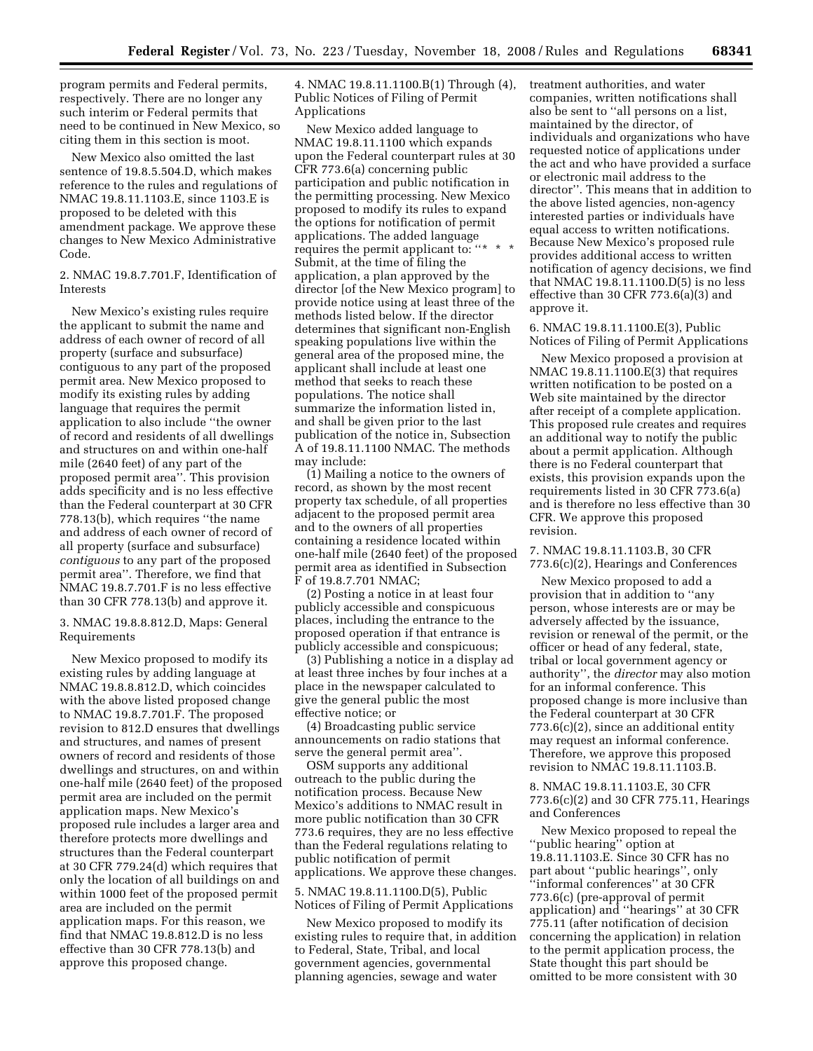program permits and Federal permits, respectively. There are no longer any such interim or Federal permits that need to be continued in New Mexico, so citing them in this section is moot.

New Mexico also omitted the last sentence of 19.8.5.504.D, which makes reference to the rules and regulations of NMAC 19.8.11.1103.E, since 1103.E is proposed to be deleted with this amendment package. We approve these changes to New Mexico Administrative Code.

2. NMAC 19.8.7.701.F, Identification of Interests

New Mexico's existing rules require the applicant to submit the name and address of each owner of record of all property (surface and subsurface) contiguous to any part of the proposed permit area. New Mexico proposed to modify its existing rules by adding language that requires the permit application to also include ''the owner of record and residents of all dwellings and structures on and within one-half mile (2640 feet) of any part of the proposed permit area''. This provision adds specificity and is no less effective than the Federal counterpart at 30 CFR 778.13(b), which requires ''the name and address of each owner of record of all property (surface and subsurface) *contiguous* to any part of the proposed permit area''. Therefore, we find that NMAC 19.8.7.701.F is no less effective than 30 CFR 778.13(b) and approve it.

3. NMAC 19.8.8.812.D, Maps: General Requirements

New Mexico proposed to modify its existing rules by adding language at NMAC 19.8.8.812.D, which coincides with the above listed proposed change to NMAC 19.8.7.701.F. The proposed revision to 812.D ensures that dwellings and structures, and names of present owners of record and residents of those dwellings and structures, on and within one-half mile (2640 feet) of the proposed permit area are included on the permit application maps. New Mexico's proposed rule includes a larger area and therefore protects more dwellings and structures than the Federal counterpart at 30 CFR 779.24(d) which requires that only the location of all buildings on and within 1000 feet of the proposed permit area are included on the permit application maps. For this reason, we find that NMAC 19.8.812.D is no less effective than 30 CFR 778.13(b) and approve this proposed change.

4. NMAC 19.8.11.1100.B(1) Through (4), Public Notices of Filing of Permit Applications

New Mexico added language to NMAC 19.8.11.1100 which expands upon the Federal counterpart rules at 30 CFR 773.6(a) concerning public participation and public notification in the permitting processing. New Mexico proposed to modify its rules to expand the options for notification of permit applications. The added language requires the permit applicant to: "\* \* \* Submit, at the time of filing the application, a plan approved by the director [of the New Mexico program] to provide notice using at least three of the methods listed below. If the director determines that significant non-English speaking populations live within the general area of the proposed mine, the applicant shall include at least one method that seeks to reach these populations. The notice shall summarize the information listed in, and shall be given prior to the last publication of the notice in, Subsection A of 19.8.11.1100 NMAC. The methods may include:

(1) Mailing a notice to the owners of record, as shown by the most recent property tax schedule, of all properties adjacent to the proposed permit area and to the owners of all properties containing a residence located within one-half mile (2640 feet) of the proposed permit area as identified in Subsection F of 19.8.7.701 NMAC;

(2) Posting a notice in at least four publicly accessible and conspicuous places, including the entrance to the proposed operation if that entrance is publicly accessible and conspicuous;

(3) Publishing a notice in a display ad at least three inches by four inches at a place in the newspaper calculated to give the general public the most effective notice; or

(4) Broadcasting public service announcements on radio stations that serve the general permit area''.

OSM supports any additional outreach to the public during the notification process. Because New Mexico's additions to NMAC result in more public notification than 30 CFR 773.6 requires, they are no less effective than the Federal regulations relating to public notification of permit applications. We approve these changes.

5. NMAC 19.8.11.1100.D(5), Public Notices of Filing of Permit Applications

New Mexico proposed to modify its existing rules to require that, in addition to Federal, State, Tribal, and local government agencies, governmental planning agencies, sewage and water

treatment authorities, and water companies, written notifications shall also be sent to ''all persons on a list, maintained by the director, of individuals and organizations who have requested notice of applications under the act and who have provided a surface or electronic mail address to the director''. This means that in addition to the above listed agencies, non-agency interested parties or individuals have equal access to written notifications. Because New Mexico's proposed rule provides additional access to written notification of agency decisions, we find that NMAC 19.8.11.1100.D(5) is no less effective than 30 CFR 773.6(a)(3) and approve it.

6. NMAC 19.8.11.1100.E(3), Public Notices of Filing of Permit Applications

New Mexico proposed a provision at NMAC 19.8.11.1100.E(3) that requires written notification to be posted on a Web site maintained by the director after receipt of a complete application. This proposed rule creates and requires an additional way to notify the public about a permit application. Although there is no Federal counterpart that exists, this provision expands upon the requirements listed in 30 CFR 773.6(a) and is therefore no less effective than 30 CFR. We approve this proposed revision.

7. NMAC 19.8.11.1103.B, 30 CFR 773.6(c)(2), Hearings and Conferences

New Mexico proposed to add a provision that in addition to ''any person, whose interests are or may be adversely affected by the issuance, revision or renewal of the permit, or the officer or head of any federal, state, tribal or local government agency or authority'', the *director* may also motion for an informal conference. This proposed change is more inclusive than the Federal counterpart at 30 CFR 773.6(c)(2), since an additional entity may request an informal conference. Therefore, we approve this proposed revision to NMAC 19.8.11.1103.B.

## 8. NMAC 19.8.11.1103.E, 30 CFR 773.6(c)(2) and 30 CFR 775.11, Hearings and Conferences

New Mexico proposed to repeal the ''public hearing'' option at 19.8.11.1103.E. Since 30 CFR has no part about ''public hearings'', only 'informal conferences'' at 30 CFR 773.6(c) (pre-approval of permit application) and ''hearings'' at 30 CFR 775.11 (after notification of decision concerning the application) in relation to the permit application process, the State thought this part should be omitted to be more consistent with 30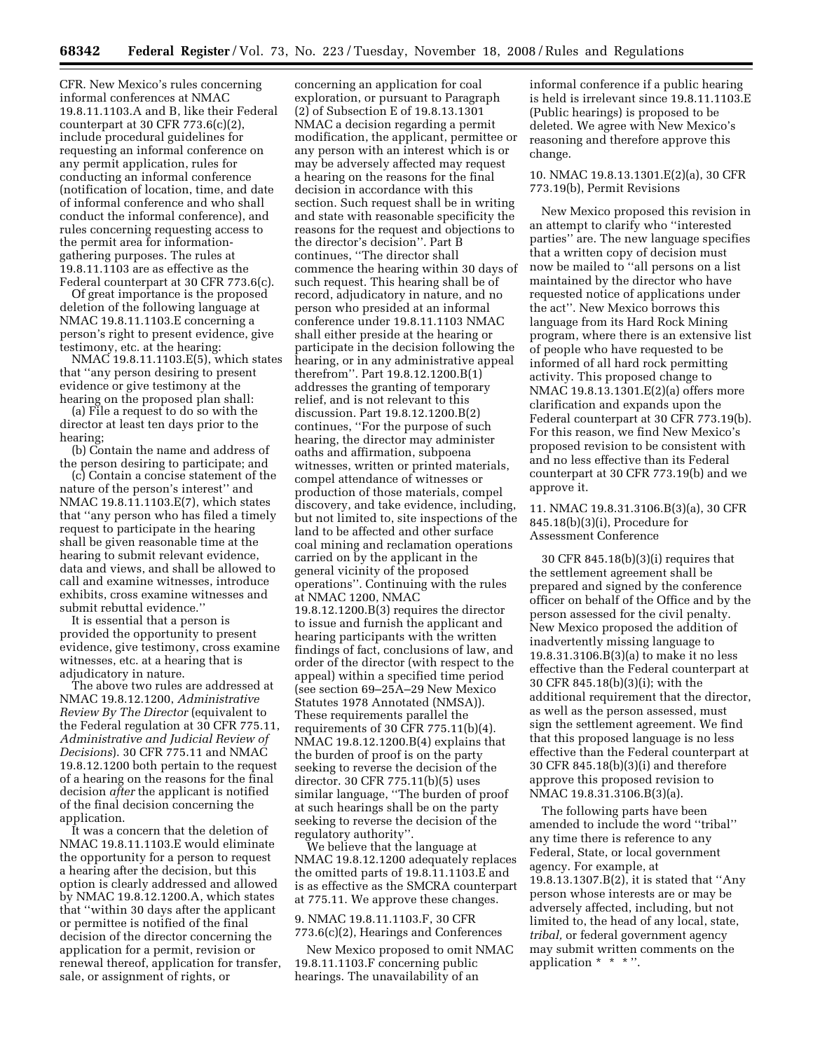CFR. New Mexico's rules concerning informal conferences at NMAC 19.8.11.1103.A and B, like their Federal counterpart at  $30$  CFR  $773.6(c)(2)$ , include procedural guidelines for requesting an informal conference on any permit application, rules for conducting an informal conference (notification of location, time, and date of informal conference and who shall conduct the informal conference), and rules concerning requesting access to the permit area for informationgathering purposes. The rules at 19.8.11.1103 are as effective as the Federal counterpart at 30 CFR 773.6(c).

Of great importance is the proposed deletion of the following language at NMAC 19.8.11.1103.E concerning a person's right to present evidence, give testimony, etc. at the hearing:

NMAC 19.8.11.1103.E(5), which states that ''any person desiring to present evidence or give testimony at the hearing on the proposed plan shall:

(a) File a request to do so with the director at least ten days prior to the hearing;

(b) Contain the name and address of the person desiring to participate; and

(c) Contain a concise statement of the nature of the person's interest'' and NMAC 19.8.11.1103.E(7), which states that ''any person who has filed a timely request to participate in the hearing shall be given reasonable time at the hearing to submit relevant evidence, data and views, and shall be allowed to call and examine witnesses, introduce exhibits, cross examine witnesses and submit rebuttal evidence.''

It is essential that a person is provided the opportunity to present evidence, give testimony, cross examine witnesses, etc. at a hearing that is adjudicatory in nature.

The above two rules are addressed at NMAC 19.8.12.1200, *Administrative Review By The Director* (equivalent to the Federal regulation at 30 CFR 775.11, *Administrative and Judicial Review of Decisions*). 30 CFR 775.11 and NMAC 19.8.12.1200 both pertain to the request of a hearing on the reasons for the final decision *after* the applicant is notified of the final decision concerning the application.

It was a concern that the deletion of NMAC 19.8.11.1103.E would eliminate the opportunity for a person to request a hearing after the decision, but this option is clearly addressed and allowed by NMAC 19.8.12.1200.A, which states that ''within 30 days after the applicant or permittee is notified of the final decision of the director concerning the application for a permit, revision or renewal thereof, application for transfer, sale, or assignment of rights, or

concerning an application for coal exploration, or pursuant to Paragraph (2) of Subsection E of 19.8.13.1301 NMAC a decision regarding a permit modification, the applicant, permittee or any person with an interest which is or may be adversely affected may request a hearing on the reasons for the final decision in accordance with this section. Such request shall be in writing and state with reasonable specificity the reasons for the request and objections to the director's decision''. Part B continues, ''The director shall commence the hearing within 30 days of such request. This hearing shall be of record, adjudicatory in nature, and no person who presided at an informal conference under 19.8.11.1103 NMAC shall either preside at the hearing or participate in the decision following the hearing, or in any administrative appeal therefrom''. Part 19.8.12.1200.B(1) addresses the granting of temporary relief, and is not relevant to this discussion. Part 19.8.12.1200.B(2) continues, ''For the purpose of such hearing, the director may administer oaths and affirmation, subpoena witnesses, written or printed materials, compel attendance of witnesses or production of those materials, compel discovery, and take evidence, including, but not limited to, site inspections of the land to be affected and other surface coal mining and reclamation operations carried on by the applicant in the general vicinity of the proposed operations''. Continuing with the rules at NMAC 1200, NMAC 19.8.12.1200.B(3) requires the director to issue and furnish the applicant and hearing participants with the written findings of fact, conclusions of law, and order of the director (with respect to the appeal) within a specified time period (see section 69–25A–29 New Mexico Statutes 1978 Annotated (NMSA)). These requirements parallel the requirements of 30 CFR 775.11(b)(4). NMAC 19.8.12.1200.B(4) explains that the burden of proof is on the party seeking to reverse the decision of the director. 30 CFR 775.11(b)(5) uses similar language, ''The burden of proof at such hearings shall be on the party seeking to reverse the decision of the regulatory authority''.

We believe that the language at NMAC 19.8.12.1200 adequately replaces the omitted parts of 19.8.11.1103.E and is as effective as the SMCRA counterpart at 775.11. We approve these changes.

## 9. NMAC 19.8.11.1103.F, 30 CFR 773.6(c)(2), Hearings and Conferences

New Mexico proposed to omit NMAC 19.8.11.1103.F concerning public hearings. The unavailability of an

informal conference if a public hearing is held is irrelevant since 19.8.11.1103.E (Public hearings) is proposed to be deleted. We agree with New Mexico's reasoning and therefore approve this change.

10. NMAC 19.8.13.1301.E(2)(a), 30 CFR 773.19(b), Permit Revisions

New Mexico proposed this revision in an attempt to clarify who ''interested parties'' are. The new language specifies that a written copy of decision must now be mailed to ''all persons on a list maintained by the director who have requested notice of applications under the act''. New Mexico borrows this language from its Hard Rock Mining program, where there is an extensive list of people who have requested to be informed of all hard rock permitting activity. This proposed change to NMAC 19.8.13.1301.E(2)(a) offers more clarification and expands upon the Federal counterpart at 30 CFR 773.19(b). For this reason, we find New Mexico's proposed revision to be consistent with and no less effective than its Federal counterpart at 30 CFR 773.19(b) and we approve it.

11. NMAC 19.8.31.3106.B(3)(a), 30 CFR 845.18(b)(3)(i), Procedure for Assessment Conference

30 CFR 845.18(b)(3)(i) requires that the settlement agreement shall be prepared and signed by the conference officer on behalf of the Office and by the person assessed for the civil penalty. New Mexico proposed the addition of inadvertently missing language to 19.8.31.3106.B(3)(a) to make it no less effective than the Federal counterpart at 30 CFR 845.18(b)(3)(i); with the additional requirement that the director, as well as the person assessed, must sign the settlement agreement. We find that this proposed language is no less effective than the Federal counterpart at 30 CFR 845.18(b)(3)(i) and therefore approve this proposed revision to NMAC 19.8.31.3106.B(3)(a).

The following parts have been amended to include the word ''tribal'' any time there is reference to any Federal, State, or local government agency. For example, at 19.8.13.1307.B(2), it is stated that ''Any person whose interests are or may be adversely affected, including, but not limited to, the head of any local, state, *tribal,* or federal government agency may submit written comments on the application \* \* \* ''.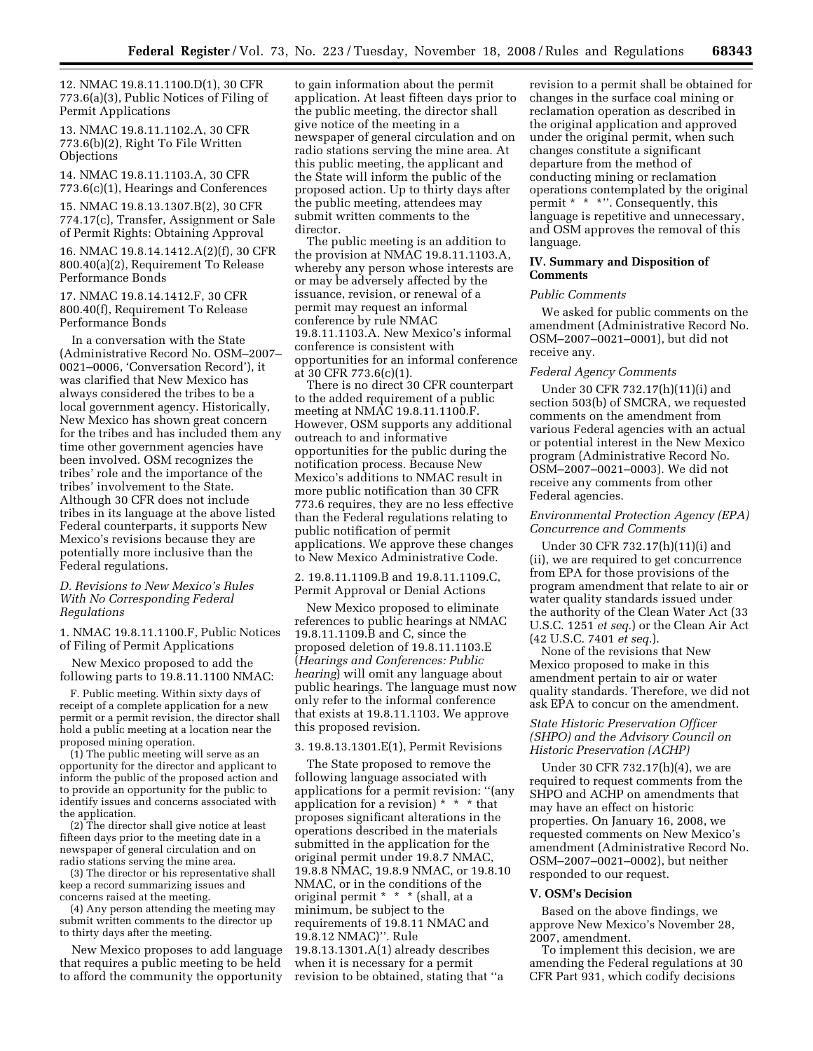12. NMAC 19.8.11.1100.D(1), 30 CFR 773.6(a)(3), Public Notices of Filing of Permit Applications

13. NMAC 19.8.11.1102.A, 30 CFR 773.6(b)(2), Right To File Written **Objections** 

14. NMAC 19.8.11.1103.A, 30 CFR 773.6(c)(1), Hearings and Conferences

15. NMAC 19.8.13.1307.B(2), 30 CFR 774.17(c), Transfer, Assignment or Sale of Permit Rights: Obtaining Approval

16. NMAC 19.8.14.1412.A(2)(f), 30 CFR 800.40(a)(2), Requirement To Release Performance Bonds

17. NMAC 19.8.14.1412.F, 30 CFR 800.40(f), Requirement To Release Performance Bonds

In a conversation with the State (Administrative Record No. OSM–2007– 0021–0006, 'Conversation Record'), it was clarified that New Mexico has always considered the tribes to be a local government agency. Historically, New Mexico has shown great concern for the tribes and has included them any time other government agencies have been involved. OSM recognizes the tribes' role and the importance of the tribes' involvement to the State. Although 30 CFR does not include tribes in its language at the above listed Federal counterparts, it supports New Mexico's revisions because they are potentially more inclusive than the Federal regulations.

### *D. Revisions to New Mexico's Rules With No Corresponding Federal Regulations*

1. NMAC 19.8.11.1100.F, Public Notices of Filing of Permit Applications

New Mexico proposed to add the following parts to 19.8.11.1100 NMAC:

F. Public meeting. Within sixty days of receipt of a complete application for a new permit or a permit revision, the director shall hold a public meeting at a location near the proposed mining operation.

(1) The public meeting will serve as an opportunity for the director and applicant to inform the public of the proposed action and to provide an opportunity for the public to identify issues and concerns associated with the application.

(2) The director shall give notice at least fifteen days prior to the meeting date in a newspaper of general circulation and on radio stations serving the mine area.

(3) The director or his representative shall keep a record summarizing issues and concerns raised at the meeting.

(4) Any person attending the meeting may submit written comments to the director up to thirty days after the meeting.

New Mexico proposes to add language that requires a public meeting to be held to afford the community the opportunity to gain information about the permit application. At least fifteen days prior to the public meeting, the director shall give notice of the meeting in a newspaper of general circulation and on radio stations serving the mine area. At this public meeting, the applicant and the State will inform the public of the proposed action. Up to thirty days after the public meeting, attendees may submit written comments to the director.

The public meeting is an addition to the provision at NMAC 19.8.11.1103.A, whereby any person whose interests are or may be adversely affected by the issuance, revision, or renewal of a permit may request an informal conference by rule NMAC 19.8.11.1103.A. New Mexico's informal conference is consistent with opportunities for an informal conference at 30 CFR 773.6(c)(1).

There is no direct 30 CFR counterpart to the added requirement of a public meeting at NMAC 19.8.11.1100.F. However, OSM supports any additional outreach to and informative opportunities for the public during the notification process. Because New Mexico's additions to NMAC result in more public notification than 30 CFR 773.6 requires, they are no less effective than the Federal regulations relating to public notification of permit applications. We approve these changes to New Mexico Administrative Code.

2. 19.8.11.1109.B and 19.8.11.1109.C, Permit Approval or Denial Actions

New Mexico proposed to eliminate references to public hearings at NMAC 19.8.11.1109.B and C, since the proposed deletion of 19.8.11.1103.E (*Hearings and Conferences: Public hearing*) will omit any language about public hearings. The language must now only refer to the informal conference that exists at 19.8.11.1103. We approve this proposed revision.

### 3. 19.8.13.1301.E(1), Permit Revisions

The State proposed to remove the following language associated with applications for a permit revision: ''(any application for a revision) \* \* \* that proposes significant alterations in the operations described in the materials submitted in the application for the original permit under 19.8.7 NMAC, 19.8.8 NMAC, 19.8.9 NMAC, or 19.8.10 NMAC, or in the conditions of the original permit \* \* \* (shall, at a minimum, be subject to the requirements of 19.8.11 NMAC and 19.8.12 NMAC)''. Rule 19.8.13.1301.A(1) already describes when it is necessary for a permit revision to be obtained, stating that ''a

revision to a permit shall be obtained for changes in the surface coal mining or reclamation operation as described in the original application and approved under the original permit, when such changes constitute a significant departure from the method of conducting mining or reclamation operations contemplated by the original permit \* \* \*''. Consequently, this language is repetitive and unnecessary, and OSM approves the removal of this language.

## **IV. Summary and Disposition of Comments**

#### *Public Comments*

We asked for public comments on the amendment (Administrative Record No. OSM–2007–0021–0001), but did not receive any.

## *Federal Agency Comments*

Under 30 CFR 732.17(h)(11)(i) and section 503(b) of SMCRA, we requested comments on the amendment from various Federal agencies with an actual or potential interest in the New Mexico program (Administrative Record No. OSM–2007–0021–0003). We did not receive any comments from other Federal agencies.

## *Environmental Protection Agency (EPA) Concurrence and Comments*

Under 30 CFR 732.17(h)(11)(i) and (ii), we are required to get concurrence from EPA for those provisions of the program amendment that relate to air or water quality standards issued under the authority of the Clean Water Act (33 U.S.C. 1251 *et seq*.) or the Clean Air Act (42 U.S.C. 7401 *et seq*.).

None of the revisions that New Mexico proposed to make in this amendment pertain to air or water quality standards. Therefore, we did not ask EPA to concur on the amendment.

## *State Historic Preservation Officer (SHPO) and the Advisory Council on Historic Preservation (ACHP)*

Under 30 CFR 732.17(h)(4), we are required to request comments from the SHPO and ACHP on amendments that may have an effect on historic properties. On January 16, 2008, we requested comments on New Mexico's amendment (Administrative Record No. OSM–2007–0021–0002), but neither responded to our request.

#### **V. OSM's Decision**

Based on the above findings, we approve New Mexico's November 28, 2007, amendment.

To implement this decision, we are amending the Federal regulations at 30 CFR Part 931, which codify decisions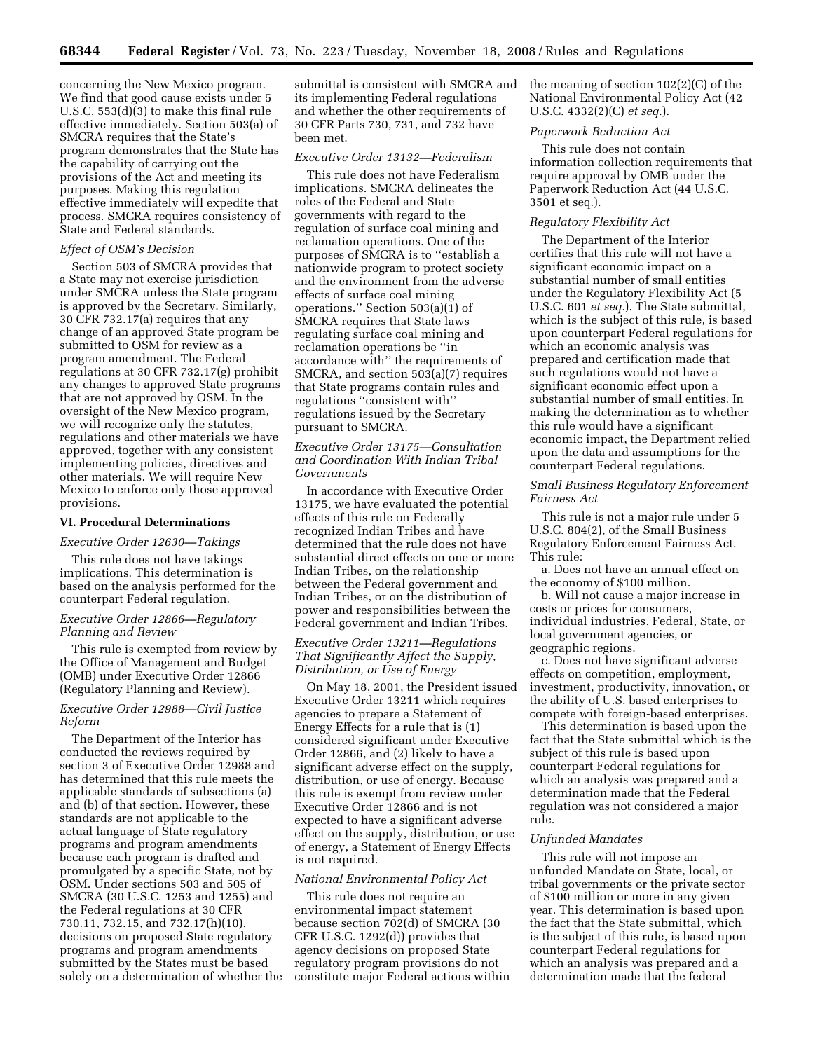concerning the New Mexico program. We find that good cause exists under 5 U.S.C. 553(d)(3) to make this final rule effective immediately. Section 503(a) of SMCRA requires that the State's program demonstrates that the State has the capability of carrying out the provisions of the Act and meeting its purposes. Making this regulation effective immediately will expedite that process. SMCRA requires consistency of State and Federal standards.

## *Effect of OSM's Decision*

Section 503 of SMCRA provides that a State may not exercise jurisdiction under SMCRA unless the State program is approved by the Secretary. Similarly, 30 CFR 732.17(a) requires that any change of an approved State program be submitted to OSM for review as a program amendment. The Federal regulations at 30 CFR 732.17(g) prohibit any changes to approved State programs that are not approved by OSM. In the oversight of the New Mexico program, we will recognize only the statutes, regulations and other materials we have approved, together with any consistent implementing policies, directives and other materials. We will require New Mexico to enforce only those approved provisions.

### **VI. Procedural Determinations**

### *Executive Order 12630—Takings*

This rule does not have takings implications. This determination is based on the analysis performed for the counterpart Federal regulation.

### *Executive Order 12866—Regulatory Planning and Review*

This rule is exempted from review by the Office of Management and Budget (OMB) under Executive Order 12866 (Regulatory Planning and Review).

# *Executive Order 12988—Civil Justice Reform*

The Department of the Interior has conducted the reviews required by section 3 of Executive Order 12988 and has determined that this rule meets the applicable standards of subsections (a) and (b) of that section. However, these standards are not applicable to the actual language of State regulatory programs and program amendments because each program is drafted and promulgated by a specific State, not by OSM. Under sections 503 and 505 of SMCRA (30 U.S.C. 1253 and 1255) and the Federal regulations at 30 CFR 730.11, 732.15, and 732.17(h)(10), decisions on proposed State regulatory programs and program amendments submitted by the States must be based solely on a determination of whether the submittal is consistent with SMCRA and its implementing Federal regulations and whether the other requirements of 30 CFR Parts 730, 731, and 732 have been met.

### *Executive Order 13132—Federalism*

This rule does not have Federalism implications. SMCRA delineates the roles of the Federal and State governments with regard to the regulation of surface coal mining and reclamation operations. One of the purposes of SMCRA is to ''establish a nationwide program to protect society and the environment from the adverse effects of surface coal mining operations.'' Section 503(a)(1) of SMCRA requires that State laws regulating surface coal mining and reclamation operations be ''in accordance with'' the requirements of SMCRA, and section 503(a)(7) requires that State programs contain rules and regulations ''consistent with'' regulations issued by the Secretary pursuant to SMCRA.

# *Executive Order 13175—Consultation and Coordination With Indian Tribal Governments*

In accordance with Executive Order 13175, we have evaluated the potential effects of this rule on Federally recognized Indian Tribes and have determined that the rule does not have substantial direct effects on one or more Indian Tribes, on the relationship between the Federal government and Indian Tribes, or on the distribution of power and responsibilities between the Federal government and Indian Tribes.

## *Executive Order 13211—Regulations That Significantly Affect the Supply, Distribution, or Use of Energy*

On May 18, 2001, the President issued Executive Order 13211 which requires agencies to prepare a Statement of Energy Effects for a rule that is (1) considered significant under Executive Order 12866, and (2) likely to have a significant adverse effect on the supply, distribution, or use of energy. Because this rule is exempt from review under Executive Order 12866 and is not expected to have a significant adverse effect on the supply, distribution, or use of energy, a Statement of Energy Effects is not required.

### *National Environmental Policy Act*

This rule does not require an environmental impact statement because section 702(d) of SMCRA (30 CFR U.S.C. 1292(d)) provides that agency decisions on proposed State regulatory program provisions do not constitute major Federal actions within the meaning of section 102(2)(C) of the National Environmental Policy Act (42 U.S.C. 4332(2)(C) *et seq.*).

## *Paperwork Reduction Act*

This rule does not contain information collection requirements that require approval by OMB under the Paperwork Reduction Act (44 U.S.C. 3501 et seq.).

### *Regulatory Flexibility Act*

The Department of the Interior certifies that this rule will not have a significant economic impact on a substantial number of small entities under the Regulatory Flexibility Act (5 U.S.C. 601 *et seq.*). The State submittal, which is the subject of this rule, is based upon counterpart Federal regulations for which an economic analysis was prepared and certification made that such regulations would not have a significant economic effect upon a substantial number of small entities. In making the determination as to whether this rule would have a significant economic impact, the Department relied upon the data and assumptions for the counterpart Federal regulations.

### *Small Business Regulatory Enforcement Fairness Act*

This rule is not a major rule under 5 U.S.C. 804(2), of the Small Business Regulatory Enforcement Fairness Act. This rule:

a. Does not have an annual effect on the economy of \$100 million.

b. Will not cause a major increase in costs or prices for consumers, individual industries, Federal, State, or local government agencies, or geographic regions.

c. Does not have significant adverse effects on competition, employment, investment, productivity, innovation, or the ability of U.S. based enterprises to compete with foreign-based enterprises.

This determination is based upon the fact that the State submittal which is the subject of this rule is based upon counterpart Federal regulations for which an analysis was prepared and a determination made that the Federal regulation was not considered a major rule.

### *Unfunded Mandates*

This rule will not impose an unfunded Mandate on State, local, or tribal governments or the private sector of \$100 million or more in any given year. This determination is based upon the fact that the State submittal, which is the subject of this rule, is based upon counterpart Federal regulations for which an analysis was prepared and a determination made that the federal